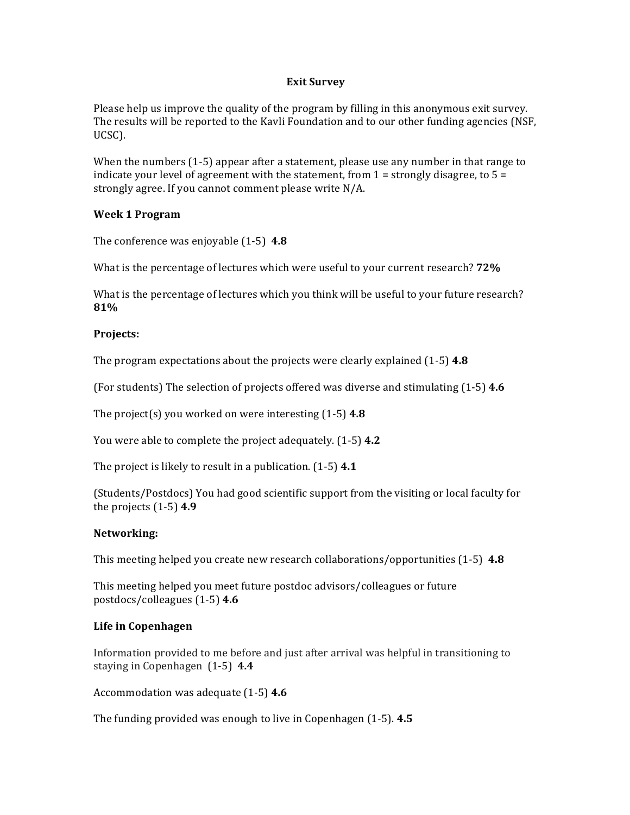### **Exit Survey**

Please help us improve the quality of the program by filling in this anonymous exit survey. The results will be reported to the Kavli Foundation and to our other funding agencies (NSF, UCSC).

When the numbers  $(1-5)$  appear after a statement, please use any number in that range to indicate your level of agreement with the statement, from  $1 =$  strongly disagree, to  $5 =$ strongly agree. If you cannot comment please write N/A.

# **Week 1 Program**

The conference was enjoyable (1-5) 4.8

What is the percentage of lectures which were useful to your current research? **72%** 

What is the percentage of lectures which you think will be useful to your future research? **81%**

### **Projects:**

The program expectations about the projects were clearly explained  $(1-5)$  4.8

(For students) The selection of projects offered was diverse and stimulating (1-5) 4.6

The project(s) you worked on were interesting  $(1-5)$  4.8

You were able to complete the project adequately. (1-5) 4.2

The project is likely to result in a publication.  $(1-5)$  4.1

(Students/Postdocs) You had good scientific support from the visiting or local faculty for the projects  $(1-5)$  4.9

# **Networking:**

This meeting helped you create new research collaborations/opportunities  $(1-5)$  **4.8** 

This meeting helped you meet future postdoc advisors/colleagues or future postdocs/colleagues (1-5) **4.6**

# **Life in Copenhagen**

Information provided to me before and just after arrival was helpful in transitioning to staying in Copenhagen  $(1-5)$  4.4

Accommodation was adequate (1-5) **4.6** 

The funding provided was enough to live in Copenhagen (1-5). **4.5**